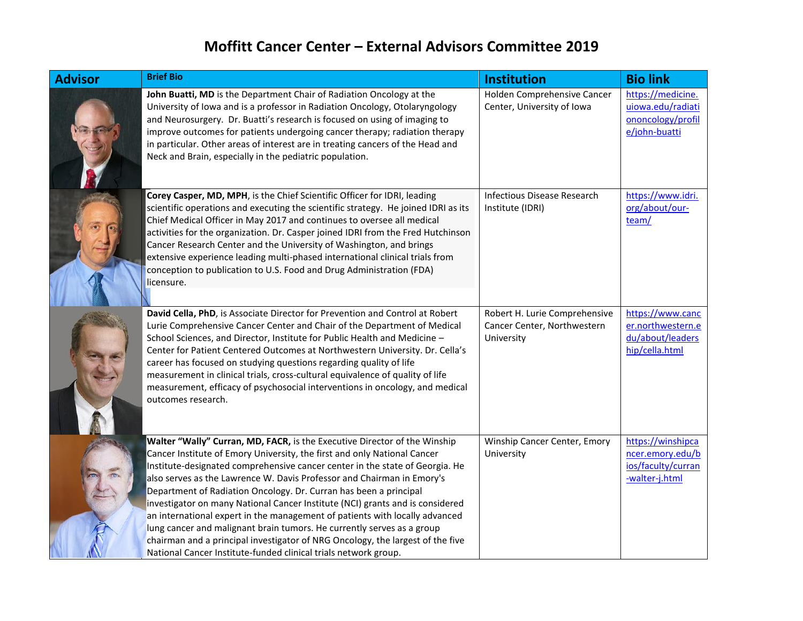## **Moffitt Cancer Center – External Advisors Committee 2019**

| <b>Advisor</b> | <b>Brief Bio</b>                                                                                                                                                                                                                                                                                                                                                                                                                                                                                                                                                                                                                                                                                                                                                                    | <b>Institution</b>                                                         | <b>Bio link</b>                                                               |
|----------------|-------------------------------------------------------------------------------------------------------------------------------------------------------------------------------------------------------------------------------------------------------------------------------------------------------------------------------------------------------------------------------------------------------------------------------------------------------------------------------------------------------------------------------------------------------------------------------------------------------------------------------------------------------------------------------------------------------------------------------------------------------------------------------------|----------------------------------------------------------------------------|-------------------------------------------------------------------------------|
|                | John Buatti, MD is the Department Chair of Radiation Oncology at the<br>University of Iowa and is a professor in Radiation Oncology, Otolaryngology<br>and Neurosurgery. Dr. Buatti's research is focused on using of imaging to<br>improve outcomes for patients undergoing cancer therapy; radiation therapy<br>in particular. Other areas of interest are in treating cancers of the Head and<br>Neck and Brain, especially in the pediatric population.                                                                                                                                                                                                                                                                                                                         | Holden Comprehensive Cancer<br>Center, University of Iowa                  | https://medicine.<br>uiowa.edu/radiati<br>ononcology/profil<br>e/john-buatti  |
|                | Corey Casper, MD, MPH, is the Chief Scientific Officer for IDRI, leading<br>scientific operations and executing the scientific strategy. He joined IDRI as its<br>Chief Medical Officer in May 2017 and continues to oversee all medical<br>activities for the organization. Dr. Casper joined IDRI from the Fred Hutchinson<br>Cancer Research Center and the University of Washington, and brings<br>extensive experience leading multi-phased international clinical trials from<br>conception to publication to U.S. Food and Drug Administration (FDA)<br>licensure.                                                                                                                                                                                                           | Infectious Disease Research<br>Institute (IDRI)                            | https://www.idri.<br>org/about/our-<br>team/                                  |
|                | David Cella, PhD, is Associate Director for Prevention and Control at Robert<br>Lurie Comprehensive Cancer Center and Chair of the Department of Medical<br>School Sciences, and Director, Institute for Public Health and Medicine -<br>Center for Patient Centered Outcomes at Northwestern University. Dr. Cella's<br>career has focused on studying questions regarding quality of life<br>measurement in clinical trials, cross-cultural equivalence of quality of life<br>measurement, efficacy of psychosocial interventions in oncology, and medical<br>outcomes research.                                                                                                                                                                                                  | Robert H. Lurie Comprehensive<br>Cancer Center, Northwestern<br>University | https://www.canc<br>er.northwestern.e<br>du/about/leaders<br>hip/cella.html   |
|                | Walter "Wally" Curran, MD, FACR, is the Executive Director of the Winship<br>Cancer Institute of Emory University, the first and only National Cancer<br>Institute-designated comprehensive cancer center in the state of Georgia. He<br>also serves as the Lawrence W. Davis Professor and Chairman in Emory's<br>Department of Radiation Oncology. Dr. Curran has been a principal<br>investigator on many National Cancer Institute (NCI) grants and is considered<br>an international expert in the management of patients with locally advanced<br>lung cancer and malignant brain tumors. He currently serves as a group<br>chairman and a principal investigator of NRG Oncology, the largest of the five<br>National Cancer Institute-funded clinical trials network group. | Winship Cancer Center, Emory<br>University                                 | https://winshipca<br>ncer.emory.edu/b<br>ios/faculty/curran<br>-walter-j.html |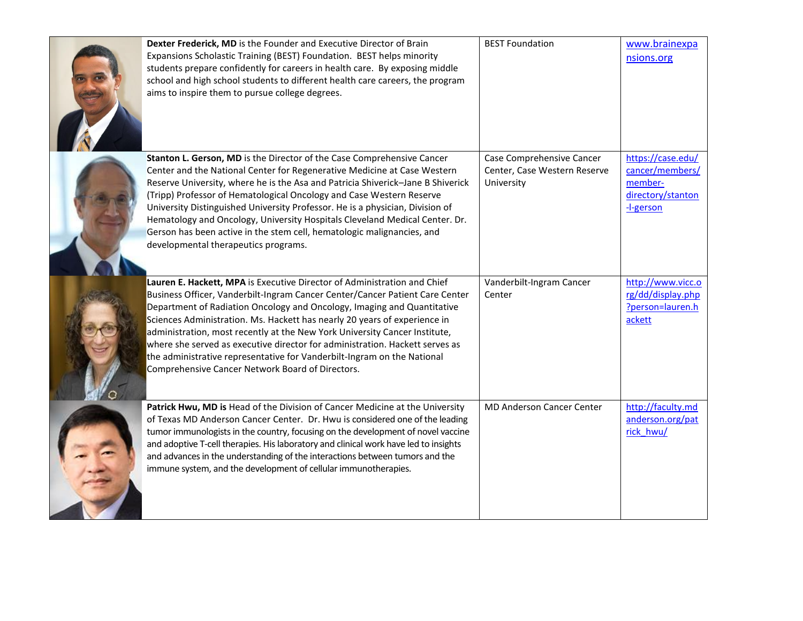| Dexter Frederick, MD is the Founder and Executive Director of Brain<br>Expansions Scholastic Training (BEST) Foundation. BEST helps minority<br>students prepare confidently for careers in health care. By exposing middle<br>school and high school students to different health care careers, the program<br>aims to inspire them to pursue college degrees.                                                                                                                                                                                                                                               | <b>BEST Foundation</b>                                                  | www.brainexpa<br>nsions.org                                                       |
|---------------------------------------------------------------------------------------------------------------------------------------------------------------------------------------------------------------------------------------------------------------------------------------------------------------------------------------------------------------------------------------------------------------------------------------------------------------------------------------------------------------------------------------------------------------------------------------------------------------|-------------------------------------------------------------------------|-----------------------------------------------------------------------------------|
| Stanton L. Gerson, MD is the Director of the Case Comprehensive Cancer<br>Center and the National Center for Regenerative Medicine at Case Western<br>Reserve University, where he is the Asa and Patricia Shiverick-Jane B Shiverick<br>(Tripp) Professor of Hematological Oncology and Case Western Reserve<br>University Distinguished University Professor. He is a physician, Division of<br>Hematology and Oncology, University Hospitals Cleveland Medical Center. Dr.<br>Gerson has been active in the stem cell, hematologic malignancies, and<br>developmental therapeutics programs.               | Case Comprehensive Cancer<br>Center, Case Western Reserve<br>University | https://case.edu/<br>cancer/members/<br>member-<br>directory/stanton<br>-l-gerson |
| Lauren E. Hackett, MPA is Executive Director of Administration and Chief<br>Business Officer, Vanderbilt-Ingram Cancer Center/Cancer Patient Care Center<br>Department of Radiation Oncology and Oncology, Imaging and Quantitative<br>Sciences Administration. Ms. Hackett has nearly 20 years of experience in<br>administration, most recently at the New York University Cancer Institute,<br>where she served as executive director for administration. Hackett serves as<br>the administrative representative for Vanderbilt-Ingram on the National<br>Comprehensive Cancer Network Board of Directors. | Vanderbilt-Ingram Cancer<br>Center                                      | http://www.vicc.o<br>rg/dd/display.php<br>?person=lauren.h<br>ackett              |
| Patrick Hwu, MD is Head of the Division of Cancer Medicine at the University<br>of Texas MD Anderson Cancer Center. Dr. Hwu is considered one of the leading<br>tumor immunologists in the country, focusing on the development of novel vaccine<br>and adoptive T-cell therapies. His laboratory and clinical work have led to insights<br>and advances in the understanding of the interactions between tumors and the<br>immune system, and the development of cellular immunotherapies.                                                                                                                   | <b>MD Anderson Cancer Center</b>                                        | http://faculty.md<br>anderson.org/pat<br>rick hwu/                                |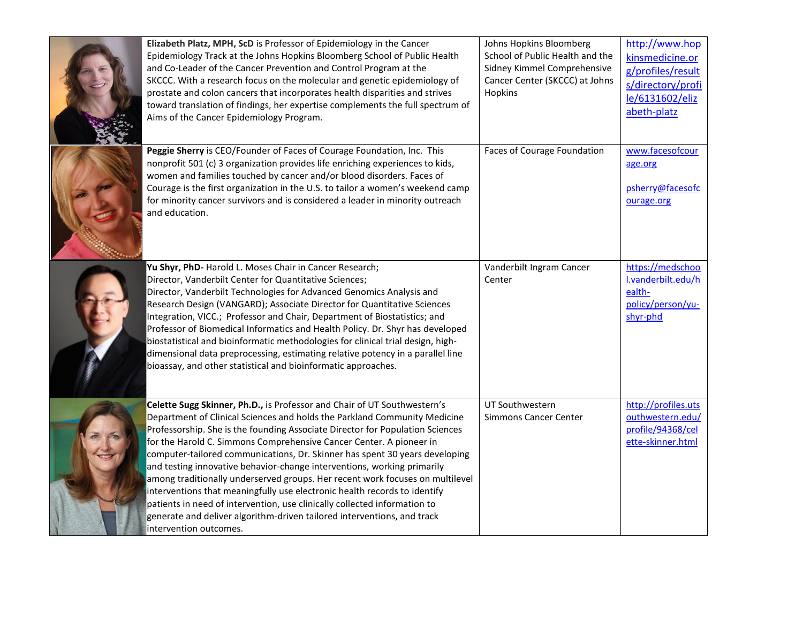| Elizabeth Platz, MPH, ScD is Professor of Epidemiology in the Cancer<br>Epidemiology Track at the Johns Hopkins Bloomberg School of Public Health<br>and Co-Leader of the Cancer Prevention and Control Program at the<br>SKCCC. With a research focus on the molecular and genetic epidemiology of<br>prostate and colon cancers that incorporates health disparities and strives<br>toward translation of findings, her expertise complements the full spectrum of<br>Aims of the Cancer Epidemiology Program.                                                                                                                                                                                                                                                                                                        | Johns Hopkins Bloomberg<br>School of Public Health and the<br>Sidney Kimmel Comprehensive<br>Cancer Center (SKCCC) at Johns<br>Hopkins | http://www.hop<br>kinsmedicine.or<br>g/profiles/result<br>s/directory/profi<br>le/6131602/eliz<br>abeth-platz |
|-------------------------------------------------------------------------------------------------------------------------------------------------------------------------------------------------------------------------------------------------------------------------------------------------------------------------------------------------------------------------------------------------------------------------------------------------------------------------------------------------------------------------------------------------------------------------------------------------------------------------------------------------------------------------------------------------------------------------------------------------------------------------------------------------------------------------|----------------------------------------------------------------------------------------------------------------------------------------|---------------------------------------------------------------------------------------------------------------|
| Peggie Sherry is CEO/Founder of Faces of Courage Foundation, Inc. This<br>nonprofit 501 (c) 3 organization provides life enriching experiences to kids,<br>women and families touched by cancer and/or blood disorders. Faces of<br>Courage is the first organization in the U.S. to tailor a women's weekend camp<br>for minority cancer survivors and is considered a leader in minority outreach<br>and education.                                                                                                                                                                                                                                                                                                                                                                                                   | Faces of Courage Foundation                                                                                                            | www.facesofcour<br>age.org<br>psherry@facesofc<br>ourage.org                                                  |
| Yu Shyr, PhD- Harold L. Moses Chair in Cancer Research;<br>Director, Vanderbilt Center for Quantitative Sciences;<br>Director, Vanderbilt Technologies for Advanced Genomics Analysis and<br>Research Design (VANGARD); Associate Director for Quantitative Sciences<br>Integration, VICC.; Professor and Chair, Department of Biostatistics; and<br>Professor of Biomedical Informatics and Health Policy. Dr. Shyr has developed<br>biostatistical and bioinformatic methodologies for clinical trial design, high-<br>dimensional data preprocessing, estimating relative potency in a parallel line<br>bioassay, and other statistical and bioinformatic approaches.                                                                                                                                                | Vanderbilt Ingram Cancer<br>Center                                                                                                     | https://medschoo<br>I.vanderbilt.edu/h<br>ealth-<br>policy/person/yu-<br>shyr-phd                             |
| Celette Sugg Skinner, Ph.D., is Professor and Chair of UT Southwestern's<br>Department of Clinical Sciences and holds the Parkland Community Medicine<br>Professorship. She is the founding Associate Director for Population Sciences<br>for the Harold C. Simmons Comprehensive Cancer Center. A pioneer in<br>computer-tailored communications, Dr. Skinner has spent 30 years developing<br>and testing innovative behavior-change interventions, working primarily<br>among traditionally underserved groups. Her recent work focuses on multilevel<br>interventions that meaningfully use electronic health records to identify<br>patients in need of intervention, use clinically collected information to<br>generate and deliver algorithm-driven tailored interventions, and track<br>intervention outcomes. | UT Southwestern<br><b>Simmons Cancer Center</b>                                                                                        | http://profiles.uts<br>outhwestern.edu/<br>profile/94368/cel<br>ette-skinner.html                             |